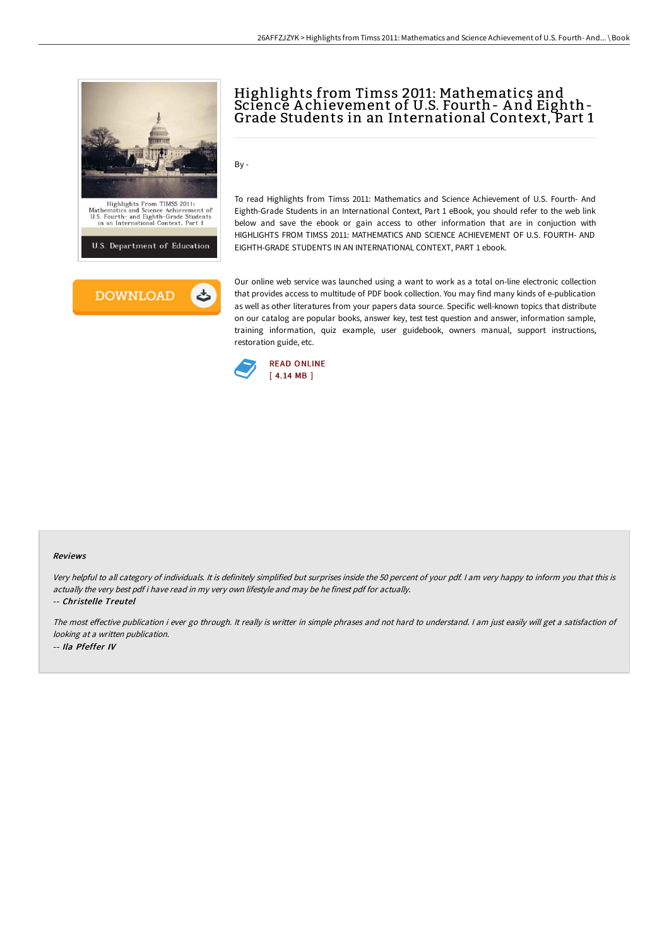



# Highlights from Timss 2011: Mathematics and Science Achievement of U.S. Fourth- And Eighth-<br>Grade Students in an International Context, Part 1

To read Highlights from Timss 2011: Mathematics and Science Achievement of U.S. Fourth- And Eighth-Grade Students in an International Context, Part 1 eBook, you should refer to the web link below and save the ebook or gain access to other information that are in conjuction with HIGHLIGHTS FROM TIMSS 2011: MATHEMATICS AND SCIENCE ACHIEVEMENT OF U.S. FOURTH- AND EIGHTH-GRADE STUDENTS IN AN INTERNATIONAL CONTEXT, PART 1 ebook.

Our online web service was launched using a want to work as a total on-line electronic collection that provides access to multitude of PDF book collection. You may find many kinds of e-publication as well as other literatures from your papers data source. Specific well-known topics that distribute on our catalog are popular books, answer key, test test question and answer, information sample, training information, quiz example, user guidebook, owners manual, support instructions, restoration guide, etc.



By -

#### Reviews

Very helpful to all category of individuals. It is definitely simplified but surprises inside the <sup>50</sup> percent of your pdf. <sup>I</sup> am very happy to inform you that this is actually the very best pdf i have read in my very own lifestyle and may be he finest pdf for actually.

-- Christelle Treutel

The most effective publication i ever go through. It really is writter in simple phrases and not hard to understand. I am just easily will get a satisfaction of looking at <sup>a</sup> written publication. -- Ila Pfeffer IV